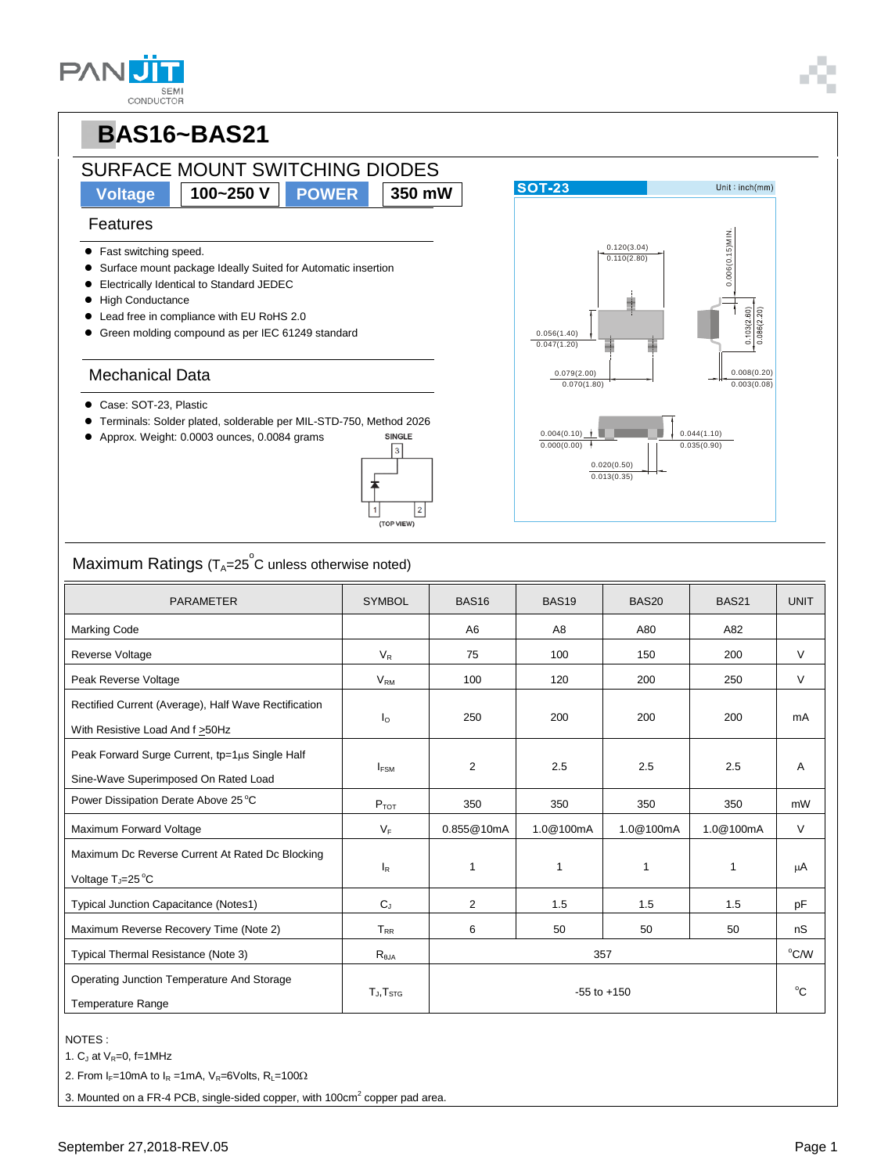# SURFACE MOUNT SWITCHING DIODES

**Voltage 100~250 V POWER 350 mW**

 $\overline{3}$ 

-<br>(TOP VIEW

 $\vert$  2

#### Features

- Fast switching speed.
- Surface mount package Ideally Suited for Automatic insertion
- Electrically Identical to Standard JEDEC
- $\bullet$  High Conductance
- Lead free in compliance with EU RoHS 2.0
- Green molding compound as per IEC 61249 standard

#### Mechanical Data

- Case: SOT-23, Plastic
- Terminals: Solder plated, solderable per MIL-STD-750, Method 2026 SINGLE
- Approx. Weight: 0.0003 ounces, 0.0084 grams



| <b>PARAMETER</b>                                                                         | <b>SYMBOL</b>             | <b>BAS16</b>    | <b>BAS19</b> | BAS <sub>20</sub> | <b>BAS21</b> | <b>UNIT</b> |
|------------------------------------------------------------------------------------------|---------------------------|-----------------|--------------|-------------------|--------------|-------------|
| Marking Code                                                                             |                           | A6              | A8           | A80               | A82          |             |
| Reverse Voltage                                                                          | $V_{R}$                   | 75              | 100          | 150               | 200          | V           |
| Peak Reverse Voltage                                                                     | V <sub>RM</sub>           | 100             | 120          | 200               | 250          | V           |
| Rectified Current (Average), Half Wave Rectification<br>With Resistive Load And f > 50Hz | $I_{\Omega}$              | 250             | 200          | 200               | 200          | mA          |
| Peak Forward Surge Current, tp=1µs Single Half<br>Sine-Wave Superimposed On Rated Load   | $I_{FSM}$                 | $\overline{2}$  | 2.5          | 2.5               | 2.5          | Α           |
| Power Dissipation Derate Above 25 °C                                                     | $P_{TOT}$                 | 350             | 350          | 350               | 350          | mW          |
| Maximum Forward Voltage                                                                  | $V_F$                     | 0.855@10mA      | 1.0@100mA    | 1.0@100mA         | 1.0@100mA    | $\vee$      |
| Maximum Dc Reverse Current At Rated Dc Blocking<br>Voltage T <sub>J</sub> =25 °C         | $\mathsf{I}_{\mathsf{R}}$ | 1               | 1            | 1                 | 1            | μA          |
| Typical Junction Capacitance (Notes1)                                                    | $C_{J}$                   | $\overline{2}$  | 1.5          | 1.5               | 1.5          | pF          |
| Maximum Reverse Recovery Time (Note 2)                                                   | $T_{RR}$                  | 6               | 50           | 50                | 50           | nS          |
| Typical Thermal Resistance (Note 3)                                                      | $R_{\theta$ JA            | 357             |              |                   |              |             |
| Operating Junction Temperature And Storage<br><b>Temperature Range</b>                   | $T_J$ , $T_{STG}$         | $-55$ to $+150$ |              |                   |              |             |

#### NOTES :

1.  $C_J$  at  $V_R=0$ , f=1MHz

2. From  $I_F$ =10mA to  $I_R$  =1mA,  $V_R$ =6Volts, R<sub>L</sub>=100 $\Omega$ 

3. Mounted on a FR-4 PCB, single-sided copper, with 100 $cm<sup>2</sup>$  copper pad area.





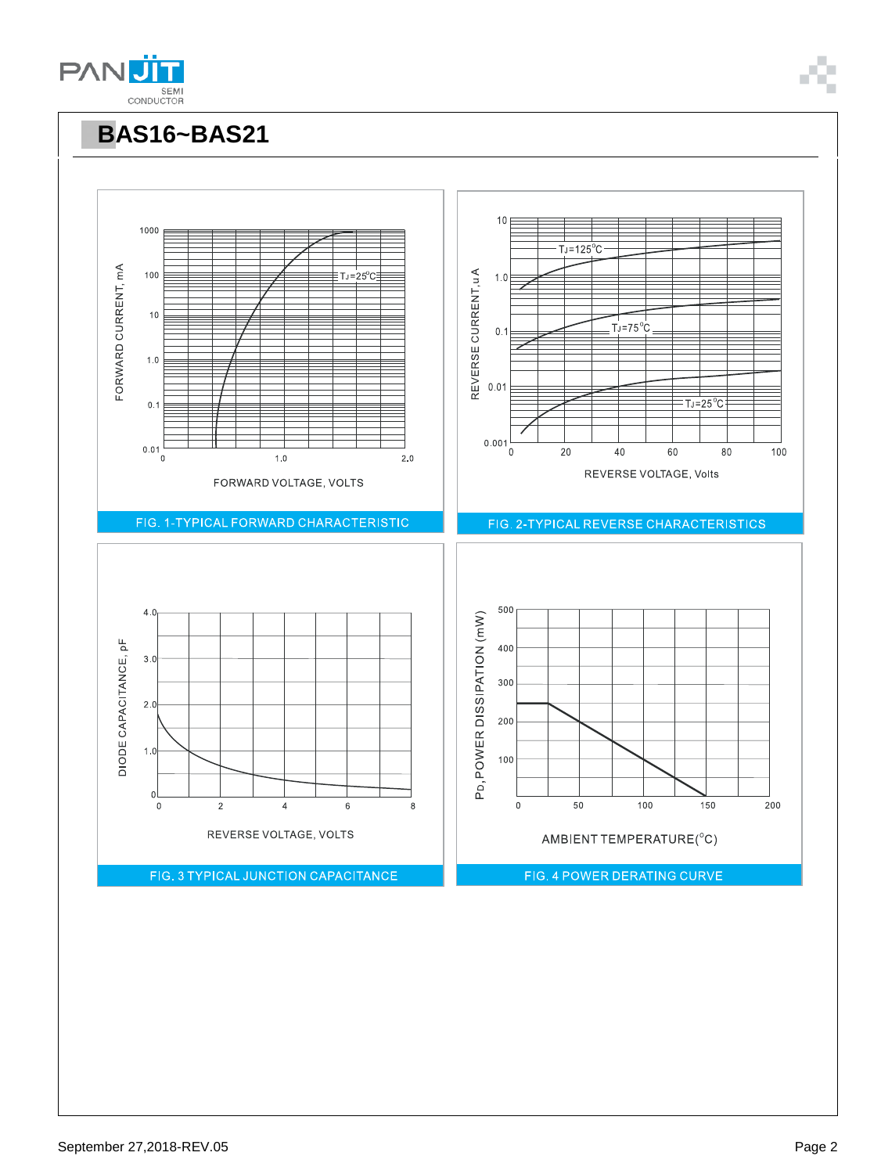

 $T = 25^\circ C$ 

10

 $1.0$ 

 $T_J = 125$ <sup>°</sup>C

**PBAS16~BAS21**

1000

100



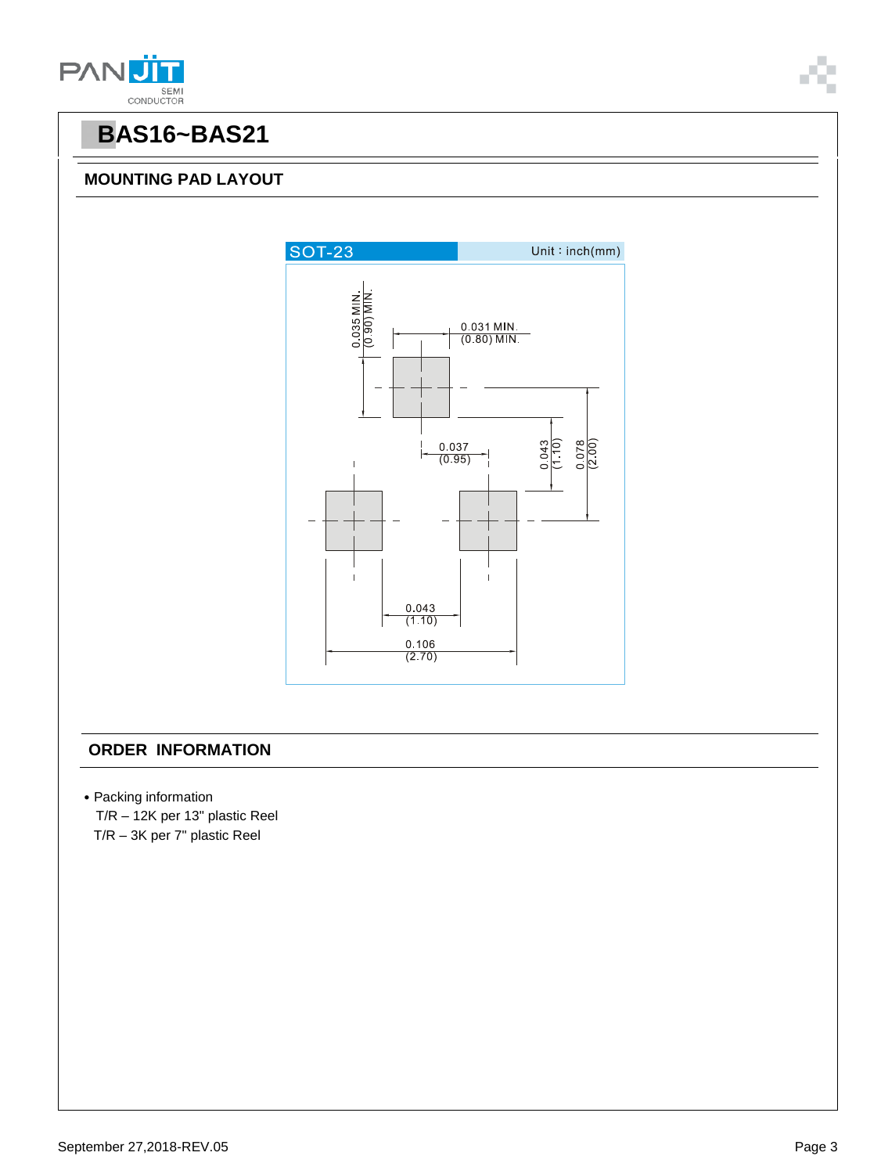



#### **MOUNTING PAD LAYOUT**



#### **ORDER INFORMATION**

- ˙Packing information
- T/R 12K per 13" plastic Reel T/R – 3K per 7" plastic Reel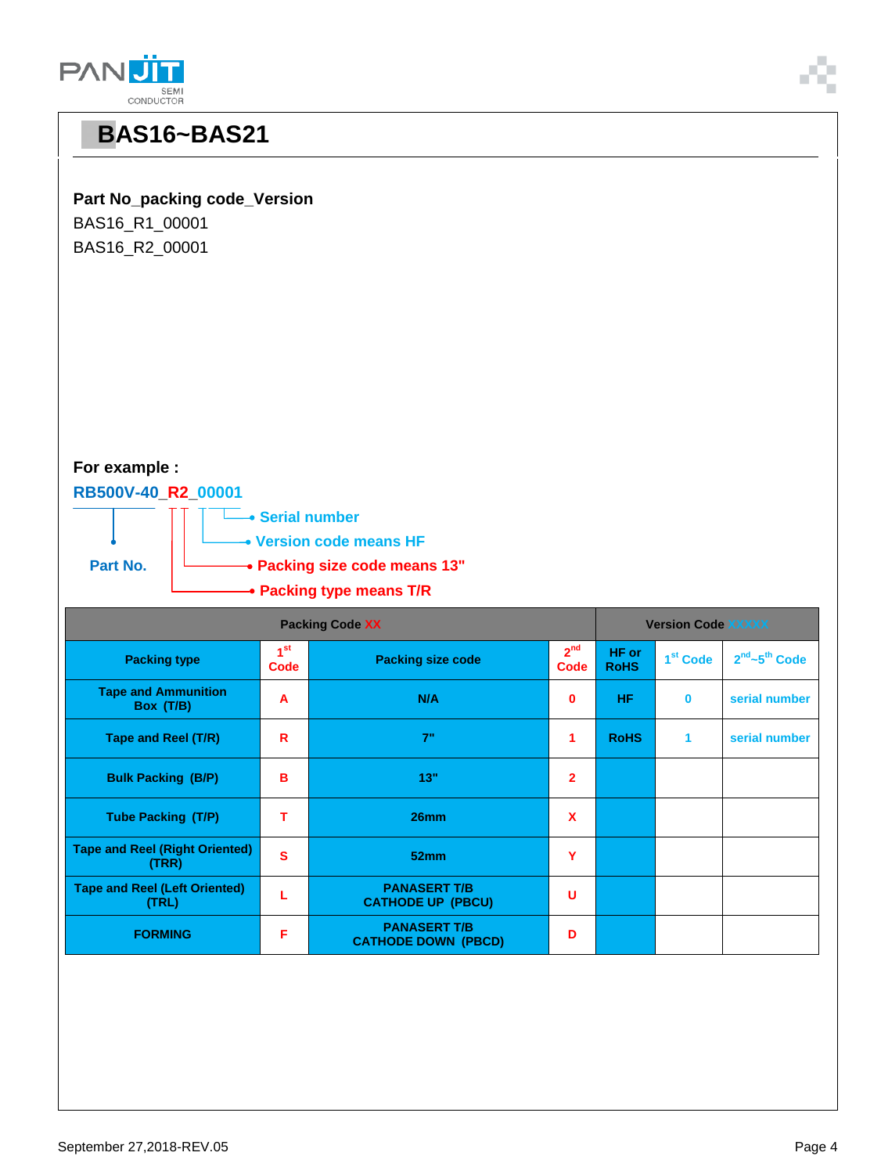| BAS16_R2_00001                                 |                                |                                                   |                                |                           |                      |                                       |  |  |  |  |
|------------------------------------------------|--------------------------------|---------------------------------------------------|--------------------------------|---------------------------|----------------------|---------------------------------------|--|--|--|--|
| For example :                                  |                                |                                                   |                                |                           |                      |                                       |  |  |  |  |
| RB500V-40_R2_00001<br>• Serial number          |                                |                                                   |                                |                           |                      |                                       |  |  |  |  |
| • Version code means HF                        |                                |                                                   |                                |                           |                      |                                       |  |  |  |  |
| Part No.<br>• Packing size code means 13"      |                                |                                                   |                                |                           |                      |                                       |  |  |  |  |
| • Packing type means T/R                       |                                |                                                   |                                |                           |                      |                                       |  |  |  |  |
| <b>Packing Code XX</b>                         |                                |                                                   |                                | <b>Version Code XXXXX</b> |                      |                                       |  |  |  |  |
| <b>Packing type</b>                            | 1 <sup>st</sup><br><b>Code</b> | <b>Packing size code</b>                          | 2 <sup>nd</sup><br><b>Code</b> | HF or<br><b>RoHS</b>      | 1 <sup>st</sup> Code | 2 <sup>nd</sup> ~5 <sup>th</sup> Code |  |  |  |  |
| <b>Tape and Ammunition</b><br>Box (T/B)        | $\mathbf{A}$                   | N/A                                               | 0                              | <b>HF</b>                 | $\bf{0}$             | serial number                         |  |  |  |  |
| Tape and Reel (T/R)                            | $\mathbf R$                    | 7"                                                | 1                              | <b>RoHS</b>               | 1                    | serial number                         |  |  |  |  |
| <b>Bulk Packing (B/P)</b>                      | $\mathbf B$                    | 13"                                               | $\overline{\mathbf{2}}$        |                           |                      |                                       |  |  |  |  |
| <b>Tube Packing (T/P)</b>                      | T.                             | 26mm                                              | $\boldsymbol{\mathsf{X}}$      |                           |                      |                                       |  |  |  |  |
| <b>Tape and Reel (Right Oriented)</b><br>(TRR) | S                              | 52mm                                              | Y                              |                           |                      |                                       |  |  |  |  |
| <b>Tape and Reel (Left Oriented)</b><br>(TRL)  | L                              | <b>PANASERT T/B</b><br><b>CATHODE UP (PBCU)</b>   | $\mathsf U$                    |                           |                      |                                       |  |  |  |  |
| <b>FORMING</b>                                 | F                              | <b>PANASERT T/B</b><br><b>CATHODE DOWN (PBCD)</b> | D                              |                           |                      |                                       |  |  |  |  |

**Part No\_packing code\_Version**

BAS16\_R1\_00001

**PANU** SEMI<br>CONDUCTOR